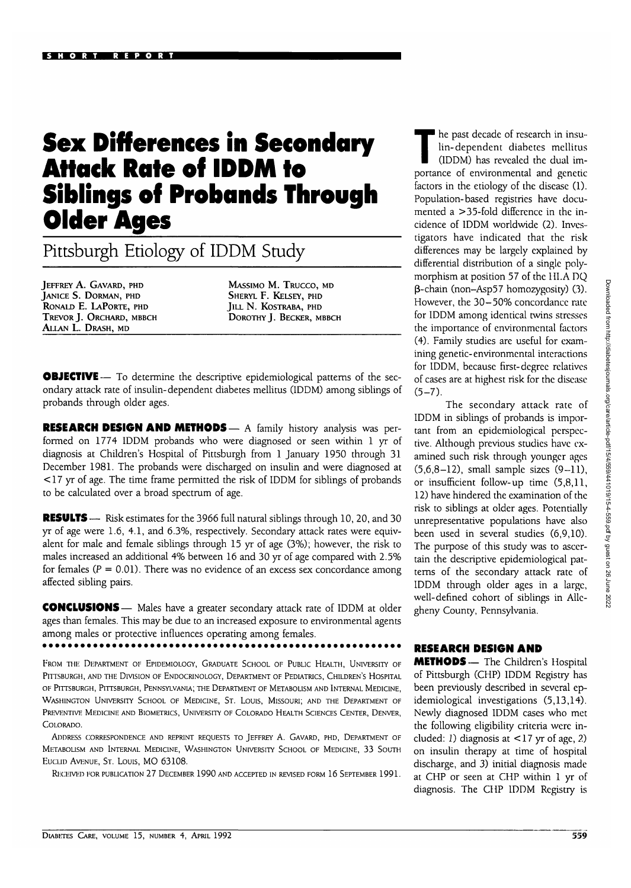## **Sex Differences in Secondary Attack Rate of IDDM to Siblings of Probands Through Older Ages**

Pittsburgh Etiology of IDDM Study

JEFFREY A. GAVARD, PHD JANICE S. DORMAN, PHD RONALD E. LAPORTE, PHD TREVOR J. ORCHARD, MBBCH ALLAN L. DRASH, MD

MASSIMO M. TRUCCO, MD SHERYL F. KELSEY, PHD JILL N. KOSTRABA, PHD DOROTHY J. BECKER, MBBCH

**OBJECTIVE** — To determine the descriptive epidemiological patterns of the secondary attack rate of insulin-dependent diabetes mellitus (IDDM) among siblings of probands through older ages.

RESEARCH DESIGN AND METHODS— A family history analysis was performed on 1774 IDDM probands who were diagnosed or seen within 1 yr of diagnosis at Children's Hospital of Pittsburgh from 1 January 1950 through 31 December 1981. The probands were discharged on insulin and were diagnosed at < 17 yr of age. The time frame permitted the risk of IDDM for siblings of probands to be calculated over a broad spectrum of age.

RESULTS — Risk estimates for the 3966 full natural siblings through 10, 20, and 30 yr of age were 1.6, 4.1, and 6.3%, respectively. Secondary attack rates were equivalent for male and female siblings through 15 yr of age (3%); however, the risk to males increased an additional 4% between 16 and 30 yr of age compared with 2.5% for females ( $P = 0.01$ ). There was no evidence of an excess sex concordance among affected sibling pairs.

CONCLUSIONS — Males have a greater secondary attack rate of IDDM at older ages than females. This may be due to an increased exposure to environmental agents among males or protective influences operating among females.

FROM THE DEPARTMENT OF EPIDEMIOLOGY, GRADUATE SCHOOL OF PUBLIC HEALTH, UNIVERSITY OF PITTSBURGH, AND THE DIVISION OF ENDOCRINOLOGY, DEPARTMENT OF PEDIATRICS, CHILDREN'S HOSPITAL OF PITTSBURGH, PITTSBURGH, PENNSYLVANIA; THE DEPARTMENT OF METABOLISM AND INTERNAL MEDICINE, WASHINGTON UNIVERSITY SCHOOL OF MEDICINE, ST. LOUIS, MISSOURI; AND THE DEPARTMENT OF PREVENTIVE MEDICINE AND BIOMETRICS, UNIVERSITY OF COLORADO HEALTH SCIENCES CENTER, DENVER, COLORADO.

ADDRESS CORRESPONDENCE AND REPRINT REQUESTS TO JEFFREY A. GAVARD, PHD, DEPARTMENT OF METABOLISM AND INTERNAL MEDICINE, WASHINGTON UNIVERSITY SCHOOL OF MEDICINE, 33 SOUTH EUCLID AVENUE, ST. LOUIS, MO 63108.

RECEIVED FOR PUBLICATION 27 DECEMBER 1990 AND ACCEPTED IN REVISED FORM 16 SEPTEMBER 1991.

The past decade of research in insu-<br>lin-dependent diabetes mellitus<br>(IDDM) has revealed the dual imlin-dependent diabetes mellitus (IDDM) has revealed the dual importance of environmental and genetic factors in the etiology of the disease (1). Population-based registries have documented a > 35-fold difference in the incidence of IDDM worldwide (2). Investigators have indicated that the risk differences may be largely explained by differential distribution of a single polymorphism at position 57 of the IILA DQ (3-chain (non-Asp57 homozygosity) (3). However, the 30—50% concordance rate for IDDM among identical twins stresses the importance of environmental factors (4). Family studies are useful for examining genetic-environmental interactions for IDDM, because first-degree relatives of cases are at highest risk for the disease  $(5-7)$ .

The secondary attack rate of IDDM in siblings of probands is important from an epidemiological perspective. Although previous studies have examined such risk through younger ages  $(5,6,8-12)$ , small sample sizes  $(9-11)$ , or insufficient follow-up time (5,8,11, 12) have hindered the examination of the risk to siblings at older ages. Potentially unrepresentative populations have also been used in several studies (6,9,10). The purpose of this study was to ascertain the descriptive epidemiological patterns of the secondary attack rate of IDDM through older ages in a large, well-defined cohort of siblings in Allegheny County, Pennsylvania.

## RESEARCH DESIGN AND

METHODS— The Children's Hospital of Pittsburgh (CHP) IDDM Registry has been previously described in several epidemiological investigations (5,13,14). Newly diagnosed IDDM cases who met the following eligibility criteria were included: J) diagnosis at < 17 yr of age, *2)* on insulin therapy at time of hospital discharge, and 3) initial diagnosis made at CHP or seen at CHP within 1 yr of diagnosis. The CHP IDDM Registry is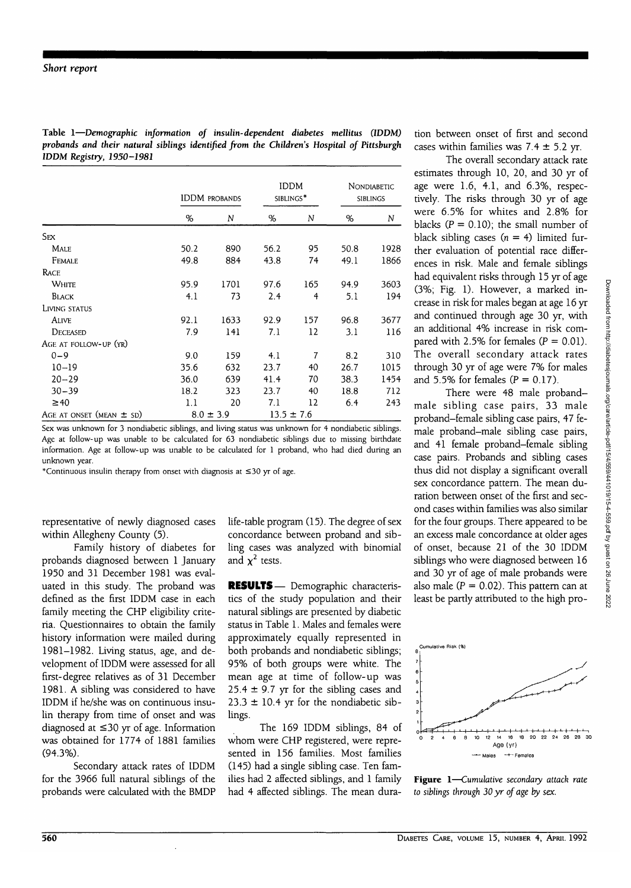**Table 1—***Demographic information of insulin-dependent diabetes mellitus (IDDM) probands and their natural siblings identified from the Children's Hospital of Pittsburgh IDDM Registry, 1950-1981*

|                              | <b>IDDM PROBANDS</b> |      | <b>IDDM</b><br>SIBLINGS* |                | Nondiabetic<br>SIBLINGS |      |
|------------------------------|----------------------|------|--------------------------|----------------|-------------------------|------|
|                              | %                    | N    | %                        | N              | %                       | N    |
| <b>SEX</b>                   |                      |      |                          |                |                         |      |
| <b>MALE</b>                  | 50.2                 | 890  | 56.2                     | 95             | 50.8                    | 1928 |
| <b>FEMALE</b>                | 49.8                 | 884  | 43.8                     | 74             | 49.1                    | 1866 |
| <b>RACE</b>                  |                      |      |                          |                |                         |      |
| <b>WHITE</b>                 | 95.9                 | 1701 | 97.6                     | 165            | 94.9                    | 3603 |
| BLACK                        | 4.1                  | 73   | 2.4                      | 4              | 5.1                     | 194  |
| LIVING STATUS                |                      |      |                          |                |                         |      |
| Alive                        | 92.1                 | 1633 | 92.9                     | 157            | 96.8                    | 3677 |
| DECEASED                     | 7.9                  | 141  | 7.1                      | 12             | 3.1                     | 116  |
| AGE AT FOLLOW-UP (YR)        |                      |      |                          |                |                         |      |
| $0 - 9$                      | 9.0                  | 159  | 4.1                      | $\overline{7}$ | 8.2                     | 310  |
| $10 - 19$                    | 35.6                 | 632  | 23.7                     | 40             | 26.7                    | 1015 |
| $20 - 29$                    | 36.0                 | 639  | 41.4                     | 70             | 38.3                    | 1454 |
| $30 - 39$                    | 18.2                 | 323  | 23.7                     | 40             | 18.8                    | 712  |
| $\geq 40$                    | 1.1                  | 20   | 7.1                      | 12             | 6.4                     | 243  |
| AGE AT ONSET (MEAN $\pm$ SD) | $8.0 \pm 3.9$        |      | $13.5 \pm 7.6$           |                |                         |      |

Sex was unknown for 3 nondiabetic siblings, and living status was unknown for 4 nondiabetic siblings. Age at follow-up was unable to be calculated for 63 nondiabetic siblings due to missing birthdate information. Age at follow-up was unable to be calculated for 1 proband, who had died during an unknown year.

\*Continuous insulin therapy from onset with diagnosis at  $\leq$ 30 yr of age.

representative of newly diagnosed cases within Allegheny County (5).

Family history of diabetes for probands diagnosed between 1 January 1950 and 31 December 1981 was evaluated in this study. The proband was defined as the first IDDM case in each family meeting the CHP eligibility criteria. Questionnaires to obtain the family history information were mailed during 1981-1982. Living status, age, and development of IDDM were assessed for all first-degree relatives as of 31 December 1981. A sibling was considered to have IDDM if he/she was on continuous insulin therapy from time of onset and was diagnosed at  $\leq 30$  yr of age. Information was obtained for 1774 of 1881 families (94.3%).

Secondary attack rates of IDDM for the 3966 full natural siblings of the probands were calculated with the BMDP life-table program (15). The degree of sex concordance between proband and sibling cases was analyzed with binomial and  $\chi^2$  tests.

RESULTS— Demographic characteristics of the study population and their natural siblings are presented by diabetic status in Table 1. Males and females were approximately equally represented in both probands and nondiabetic siblings; 95% of both groups were white. The mean age at time of follow-up was  $25.4 \pm 9.7$  yr for the sibling cases and  $23.3 \pm 10.4$  yr for the nondiabetic siblings.

The 169 IDDM siblings, 84 of whom were CHP registered, were represented in 156 families. Most families (145) had a single sibling case. Ten families had 2 affected siblings, and 1 family had 4 affected siblings. The mean duration between onset of first and second cases within families was  $7.4 \pm 5.2$  yr.

The overall secondary attack rate estimates through 10, 20, and 30 yr of age were 1.6, 4.1, and 6.3%, respectively. The risks through 30 yr of age were 6.5% for whites and 2.8% for blacks  $(P = 0.10)$ ; the small number of black sibling cases  $(n = 4)$  limited further evaluation of potential race differences in risk. Male and female siblings had equivalent risks through 15 yr of age (3%; Fig. 1). However, a marked increase in risk for males began at age 16 yr and continued through age 30 yr, with an additional 4% increase in risk compared with 2.5% for females  $(P = 0.01)$ . The overall secondary attack rates through 30 yr of age were 7% for males and 5.5% for females  $(P = 0.17)$ .

There were 48 male probandmale sibling case pairs, 33 male proband-female sibling case pairs, 47 female proband-male sibling case pairs, and 41 female proband-female sibling case pairs. Probands and sibling cases thus did not display a significant overall sex concordance pattern. The mean duration between onset of the first and second cases within families was also similar for the four groups. There appeared to be an excess male concordance at older ages of onset, because 21 of the 30 IDDM siblings who were diagnosed between 16 and 30 yr of age of male probands were also male ( $P = 0.02$ ). This pattern can at least be partly attributed to the high pro-



**Figure 1**—*Cumulative secondary attack rate to siblings through 30 yr of age by sex.*